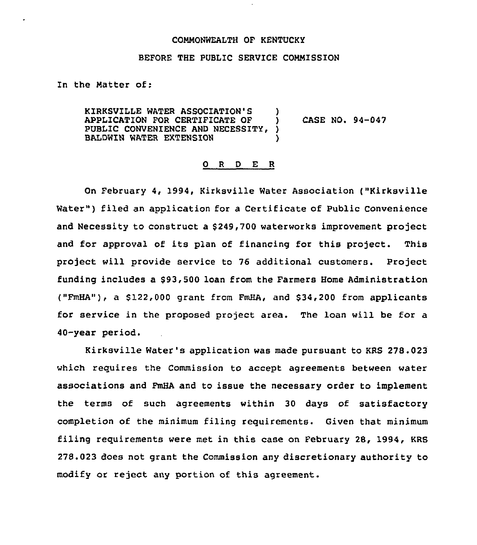## COMMONWEALTH OF KENTUCKY

## BEFORE THE PUBLIC SERVICE COMMISSION

In the Matter of:

KIRKSVILLE WATER ASSOC1ATION'S ) APPLICATION FOR CERTIFICATE OF ) CASE NO. 94-047<br>PUBLIC CONVENIENCE AND NECESSITY. ) PUBLIC CONVENIENCE AND NECESSITY, BALDWIN WATER EXTENSION

## 0 <sup>R</sup> <sup>D</sup> E R

On February 4, 1994, Kirksville Water Association ("Kirksville Water") filed an application for a Certificate of Public Convenience and Necessity to construct a \$249,700 waterworks improvement project and for approval of its plan of financing for this project. This project will provide service to 76 additional customers. Project funding includes a \$93,500 loan from the Farmers Home Administration ("FmHA"), a  $$122,000$  grant from FmHA, and  $$34,200$  from applicants for service in the proposed project area. The loan will be for a 40-year period.

Kirksville Water's application was made pursuant to KRS 278.023 which requires the Commission to accept agreements between water associations and FmHA and to issue the necessary order to implement the terms of such agreements within 30 days of satisfactory completion of the minimum filing requirements. Given that minimum filing requirements were met in this case on February 28, 1994, KRS 278.023 does not grant the Commission any discretionary authority to modify or reject any portion of this agreement.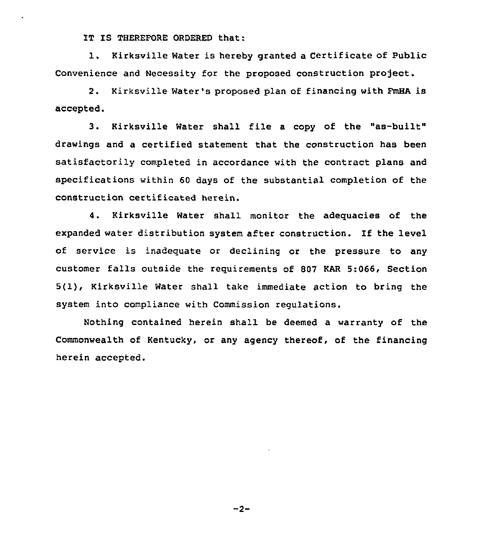IT IS THEREFORE ORDERED that:

1. Kirksville Water is hereby granted <sup>a</sup> Certificate of Public Convenience and Necessity for the proposed construction project.

2. Kirksville Water's proposed plan of financing with FmHA is accepted.

3. Kirksville Water shall file <sup>a</sup> copy of the "as-built" drawings and a certified statement that the construction has been satisfactorily completed in accordance with the contract plans and specifications within 60 days of the substantial completion of the construction certificated herein.

4. Kirksville Water shall monitor the adequacies of the expanded water distribution system after construction. If the level of service is inadequate or declining or the pressure to any customer falls outside the requirements of 807 KAR 5:066, Section 5(1), Kirksville Water shall take immediate action to bring the system into compliance with Commission regulations.

Nothing contained herein shall. be deemed a warranty of the Commonwealth of Kentucky, or any agency thereof, of the financing herein accepted.

 $-2-$